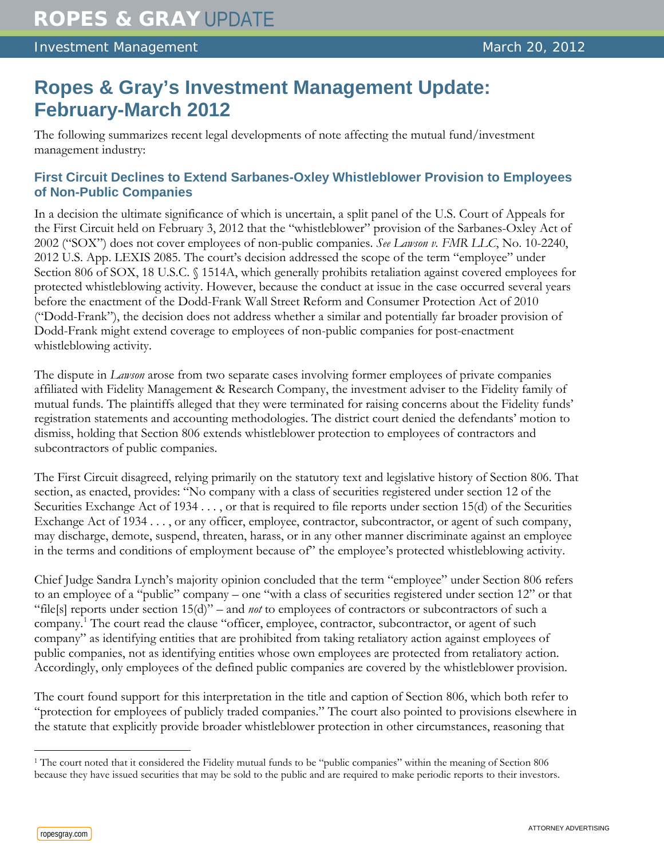# **Ropes & Gray's Investment Management Update: February-March 2012**

The following summarizes recent legal developments of note affecting the mutual fund/investment management industry:

## **First Circuit Declines to Extend Sarbanes-Oxley Whistleblower Provision to Employees of Non-Public Companies**

In a decision the ultimate significance of which is uncertain, a split panel of the U.S. Court of Appeals for the First Circuit held on February 3, 2012 that the "whistleblower" provision of the Sarbanes-Oxley Act of 2002 ("SOX") does not cover employees of non-public companies. *See Lawson v. FMR LLC*, No. 10-2240, 2012 U.S. App. LEXIS 2085. The court's decision addressed the scope of the term "employee" under Section 806 of SOX, 18 U.S.C. § 1514A, which generally prohibits retaliation against covered employees for protected whistleblowing activity. However, because the conduct at issue in the case occurred several years before the enactment of the Dodd-Frank Wall Street Reform and Consumer Protection Act of 2010 ("Dodd-Frank"), the decision does not address whether a similar and potentially far broader provision of Dodd-Frank might extend coverage to employees of non-public companies for post-enactment whistleblowing activity.

The dispute in *Lawson* arose from two separate cases involving former employees of private companies affiliated with Fidelity Management & Research Company, the investment adviser to the Fidelity family of mutual funds. The plaintiffs alleged that they were terminated for raising concerns about the Fidelity funds' registration statements and accounting methodologies. The district court denied the defendants' motion to dismiss, holding that Section 806 extends whistleblower protection to employees of contractors and subcontractors of public companies.

The First Circuit disagreed, relying primarily on the statutory text and legislative history of Section 806. That section, as enacted, provides: "No company with a class of securities registered under section 12 of the Securities Exchange Act of 1934 . . . , or that is required to file reports under section 15(d) of the Securities Exchange Act of 1934 . . . , or any officer, employee, contractor, subcontractor, or agent of such company, may discharge, demote, suspend, threaten, harass, or in any other manner discriminate against an employee in the terms and conditions of employment because of" the employee's protected whistleblowing activity.

Chief Judge Sandra Lynch's majority opinion concluded that the term "employee" under Section 806 refers to an employee of a "public" company – one "with a class of securities registered under section 12" or that "file[s] reports under section 15(d)" – and *not* to employees of contractors or subcontractors of such a company.[1](#page-0-0) The court read the clause "officer, employee, contractor, subcontractor, or agent of such company" as identifying entities that are prohibited from taking retaliatory action against employees of public companies, not as identifying entities whose own employees are protected from retaliatory action. Accordingly, only employees of the defined public companies are covered by the whistleblower provision.

The court found support for this interpretation in the title and caption of Section 806, which both refer to "protection for employees of publicly traded companies." The court also pointed to provisions elsewhere in the statute that explicitly provide broader whistleblower protection in other circumstances, reasoning that

<span id="page-0-0"></span> $\overline{a}$ <sup>1</sup> The court noted that it considered the Fidelity mutual funds to be "public companies" within the meaning of Section 806 because they have issued securities that may be sold to the public and are required to make periodic reports to their investors.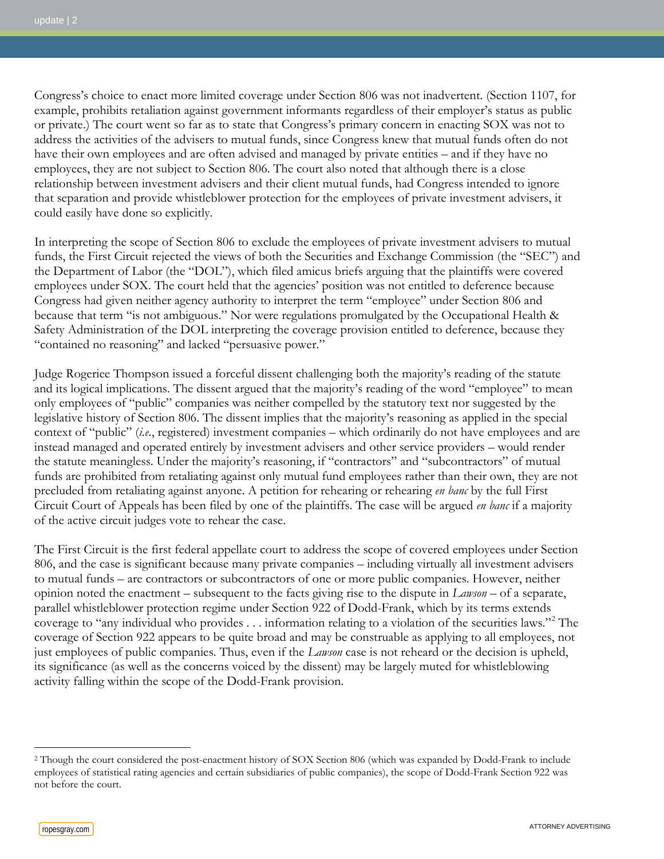Congress's choice to enact more limited coverage under Section 806 was not inadvertent. (Section 1107, for example, prohibits retaliation against government informants regardless of their employer's status as public or private.) The court went so far as to state that Congress's primary concern in enacting SOX was not to address the activities of the advisers to mutual funds, since Congress knew that mutual funds often do not have their own employees and are often advised and managed by private entities – and if they have no employees, they are not subject to Section 806. The court also noted that although there is a close relationship between investment advisers and their client mutual funds, had Congress intended to ignore that separation and provide whistleblower protection for the employees of private investment advisers, it could easily have done so explicitly.

In interpreting the scope of Section 806 to exclude the employees of private investment advisers to mutual funds, the First Circuit rejected the views of both the Securities and Exchange Commission (the "SEC") and the Department of Labor (the "DOL"), which filed amicus briefs arguing that the plaintiffs were covered employees under SOX. The court held that the agencies' position was not entitled to deference because Congress had given neither agency authority to interpret the term "employee" under Section 806 and because that term "is not ambiguous." Nor were regulations promulgated by the Occupational Health & Safety Administration of the DOL interpreting the coverage provision entitled to deference, because they "contained no reasoning" and lacked "persuasive power."

Judge Rogeriee Thompson issued a forceful dissent challenging both the majority's reading of the statute and its logical implications. The dissent argued that the majority's reading of the word "employee" to mean only employees of "public" companies was neither compelled by the statutory text nor suggested by the legislative history of Section 806. The dissent implies that the majority's reasoning as applied in the special context of "public" (*i.e.*, registered) investment companies – which ordinarily do not have employees and are instead managed and operated entirely by investment advisers and other service providers – would render the statute meaningless. Under the majority's reasoning, if "contractors" and "subcontractors" of mutual funds are prohibited from retaliating against only mutual fund employees rather than their own, they are not precluded from retaliating against anyone. A petition for rehearing or rehearing *en banc* by the full First Circuit Court of Appeals has been filed by one of the plaintiffs. The case will be argued *en banc* if a majority of the active circuit judges vote to rehear the case.

The First Circuit is the first federal appellate court to address the scope of covered employees under Section 806, and the case is significant because many private companies – including virtually all investment advisers to mutual funds – are contractors or subcontractors of one or more public companies. However, neither opinion noted the enactment – subsequent to the facts giving rise to the dispute in *Lawson* – of a separate, parallel whistleblower protection regime under Section 922 of Dodd-Frank, which by its terms extends coverage to "any individual who provides . . . information relating to a violation of the securities laws."[2](#page-1-0) The coverage of Section 922 appears to be quite broad and may be construable as applying to all employees, not just employees of public companies. Thus, even if the *Lawson* case is not reheard or the decision is upheld, its significance (as well as the concerns voiced by the dissent) may be largely muted for whistleblowing activity falling within the scope of the Dodd-Frank provision.

 $\overline{a}$ 

<span id="page-1-0"></span><sup>2</sup> Though the court considered the post-enactment history of SOX Section 806 (which was expanded by Dodd-Frank to include employees of statistical rating agencies and certain subsidiaries of public companies), the scope of Dodd-Frank Section 922 was not before the court.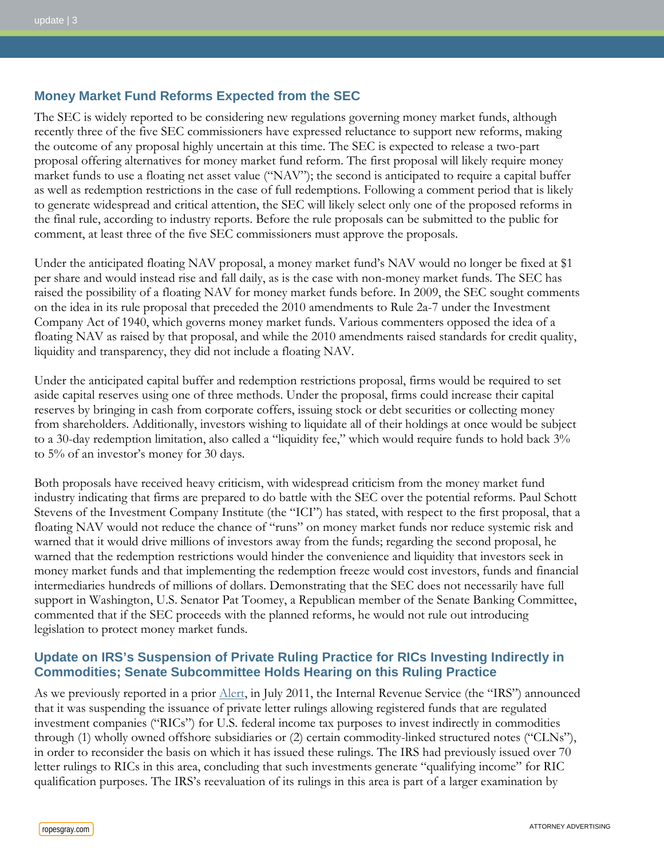#### **Money Market Fund Reforms Expected from the SEC**

The SEC is widely reported to be considering new regulations governing money market funds, although recently three of the five SEC commissioners have expressed reluctance to support new reforms, making the outcome of any proposal highly uncertain at this time. The SEC is expected to release a two-part proposal offering alternatives for money market fund reform. The first proposal will likely require money market funds to use a floating net asset value ("NAV"); the second is anticipated to require a capital buffer as well as redemption restrictions in the case of full redemptions. Following a comment period that is likely to generate widespread and critical attention, the SEC will likely select only one of the proposed reforms in the final rule, according to industry reports. Before the rule proposals can be submitted to the public for comment, at least three of the five SEC commissioners must approve the proposals.

Under the anticipated floating NAV proposal, a money market fund's NAV would no longer be fixed at \$1 per share and would instead rise and fall daily, as is the case with non-money market funds. The SEC has raised the possibility of a floating NAV for money market funds before. In 2009, the SEC sought comments on the idea in its rule proposal that preceded the 2010 amendments to Rule 2a-7 under the Investment Company Act of 1940, which governs money market funds. Various commenters opposed the idea of a floating NAV as raised by that proposal, and while the 2010 amendments raised standards for credit quality, liquidity and transparency, they did not include a floating NAV.

Under the anticipated capital buffer and redemption restrictions proposal, firms would be required to set aside capital reserves using one of three methods. Under the proposal, firms could increase their capital reserves by bringing in cash from corporate coffers, issuing stock or debt securities or collecting money from shareholders. Additionally, investors wishing to liquidate all of their holdings at once would be subject to a 30-day redemption limitation, also called a "liquidity fee," which would require funds to hold back 3% to 5% of an investor's money for 30 days.

Both proposals have received heavy criticism, with widespread criticism from the money market fund industry indicating that firms are prepared to do battle with the SEC over the potential reforms. Paul Schott Stevens of the Investment Company Institute (the "ICI") has stated, with respect to the first proposal, that a floating NAV would not reduce the chance of "runs" on money market funds nor reduce systemic risk and warned that it would drive millions of investors away from the funds; regarding the second proposal, he warned that the redemption restrictions would hinder the convenience and liquidity that investors seek in money market funds and that implementing the redemption freeze would cost investors, funds and financial intermediaries hundreds of millions of dollars. Demonstrating that the SEC does not necessarily have full support in Washington, U.S. Senator Pat Toomey, a Republican member of the Senate Banking Committee, commented that if the SEC proceeds with the planned reforms, he would not rule out introducing legislation to protect money market funds.

#### **Update on IRS's Suspension of Private Ruling Practice for RICs Investing Indirectly in Commodities; Senate Subcommittee Holds Hearing on this Ruling Practice**

As we previously reported in a prior [Alert,](http://www.ropesgray.com/files/Publication/69bc7d60-c721-40ec-836a-17c328e33dc1/Presentation/PublicationAttachment/7ba0185d-e594-491e-a8f3-1843decda116/20110808_IM_Update.pdf) in July 2011, the Internal Revenue Service (the "IRS") announced that it was suspending the issuance of private letter rulings allowing registered funds that are regulated investment companies ("RICs") for U.S. federal income tax purposes to invest indirectly in commodities through (1) wholly owned offshore subsidiaries or (2) certain commodity-linked structured notes ("CLNs"), in order to reconsider the basis on which it has issued these rulings. The IRS had previously issued over 70 letter rulings to RICs in this area, concluding that such investments generate "qualifying income" for RIC qualification purposes. The IRS's reevaluation of its rulings in this area is part of a larger examination by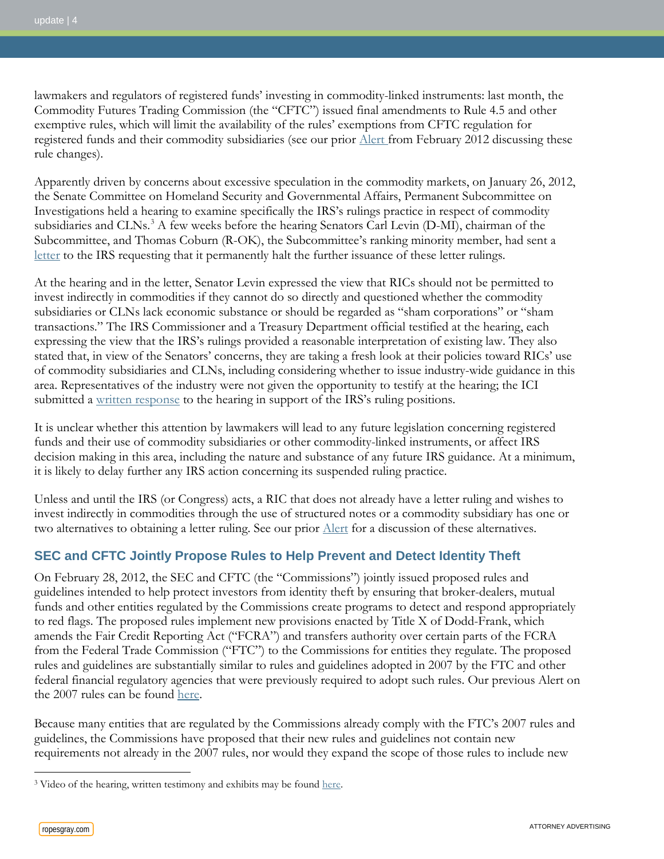lawmakers and regulators of registered funds' investing in commodity-linked instruments: last month, the Commodity Futures Trading Commission (the "CFTC") issued final amendments to Rule 4.5 and other exemptive rules, which will limit the availability of the rules' exemptions from CFTC regulation for registered funds and their commodity subsidiaries (see our prior [Alert f](http://www.ropesgray.com/files/Publication/aa99c1f6-d18b-42cf-bbd2-64bdab4d1646/Presentation/PublicationAttachment/964e1a0f-84f3-4bdf-a238-65bf36ab991e/20120214_IM_Alert.pdf)rom February 2012 discussing these rule changes).

Apparently driven by concerns about excessive speculation in the commodity markets, on January 26, 2012, the Senate Committee on Homeland Security and Governmental Affairs, Permanent Subcommittee on Investigations held a hearing to examine specifically the IRS's rulings practice in respect of commodity subsidiaries and CLNs.<sup>[3](#page-3-0)</sup> A few weeks before the hearing Senators Carl Levin (D-MI), chairman of the [letter](http://www.hsgac.senate.gov/download/12-20-11-letter-to-irs-from-levin-and-coburn) to the IRS requesting that it permanently halt the further issuance of these letter rulings. Subcommittee, and Thomas Coburn (R-OK), the Subcommittee's ranking minority member, had sent a

At the hearing and in the letter, Senator Levin expressed the view that RICs should not be permitted to invest indirectly in commodities if they cannot do so directly and questioned whether the commodity subsidiaries or CLNs lack economic substance or should be regarded as "sham corporations" or "sham transactions." The IRS Commissioner and a Treasury Department official testified at the hearing, each expressing the view that the IRS's rulings provided a reasonable interpretation of existing law. They also stated that, in view of the Senators' concerns, they are taking a fresh look at their policies toward RICs' use of commodity subsidiaries and CLNs, including considering whether to issue industry-wide guidance in this area. Representatives of the industry were not given the opportunity to testify at the hearing; the ICI submitted a [written response](http://www.ici.org/pdf/12_senate_psi_commod.pdf) to the hearing in support of the IRS's ruling positions.

It is unclear whether this attention by lawmakers will lead to any future legislation concerning registered funds and their use of commodity subsidiaries or other commodity-linked instruments, or affect IRS decision making in this area, including the nature and substance of any future IRS guidance. At a minimum, it is likely to delay further any IRS action concerning its suspended ruling practice.

Unless and until the IRS (or Congress) acts, a RIC that does not already have a letter ruling and wishes to invest indirectly in commodities through the use of structured notes or a commodity subsidiary has one or two alternatives to obtaining a letter ruling. See our prior [Alert](http://www.ropesgray.com/files/Publication/69bc7d60-c721-40ec-836a-17c328e33dc1/Presentation/PublicationAttachment/7ba0185d-e594-491e-a8f3-1843decda116/20110808_IM_Update.pdf) for a discussion of these alternatives.

## **SEC and CFTC Jointly Propose Rules to Help Prevent and Detect Identity Theft**

On February 28, 2012, the SEC and CFTC (the "Commissions") jointly issued proposed rules and guidelines intended to help protect investors from identity theft by ensuring that broker-dealers, mutual funds and other entities regulated by the Commissions create programs to detect and respond appropriately to red flags. The proposed rules implement new provisions enacted by Title X of Dodd-Frank, which amends the Fair Credit Reporting Act ("FCRA") and transfers authority over certain parts of the FCRA from the Federal Trade Commission ("FTC") to the Commissions for entities they regulate. The proposed rules and guidelines are substantially similar to rules and guidelines adopted in 2007 by the FTC and other federal financial regulatory agencies that were previously required to adopt such rules. Our previous Alert on the 2007 rules can be found [here.](http://www.ropesgray.com/investmentmanagementupdateaugust2008/?PublicationTypes=0c16874b-f94e-4696-b607-de259b87a13f)

Because many entities that are regulated by the Commissions already comply with the FTC's 2007 rules and guidelines, the Commissions have proposed that their new rules and guidelines not contain new requirements not already in the 2007 rules, nor would they expand the scope of those rules to include new

 $\overline{a}$ 

<span id="page-3-0"></span><sup>&</sup>lt;sup>3</sup> Video of the hearing, written testimony and exhibits may be found [here.](http://www.hsgac.senate.gov/subcommittees/investigations/hearings/taxation-of-mutual-fund-commodity-investments)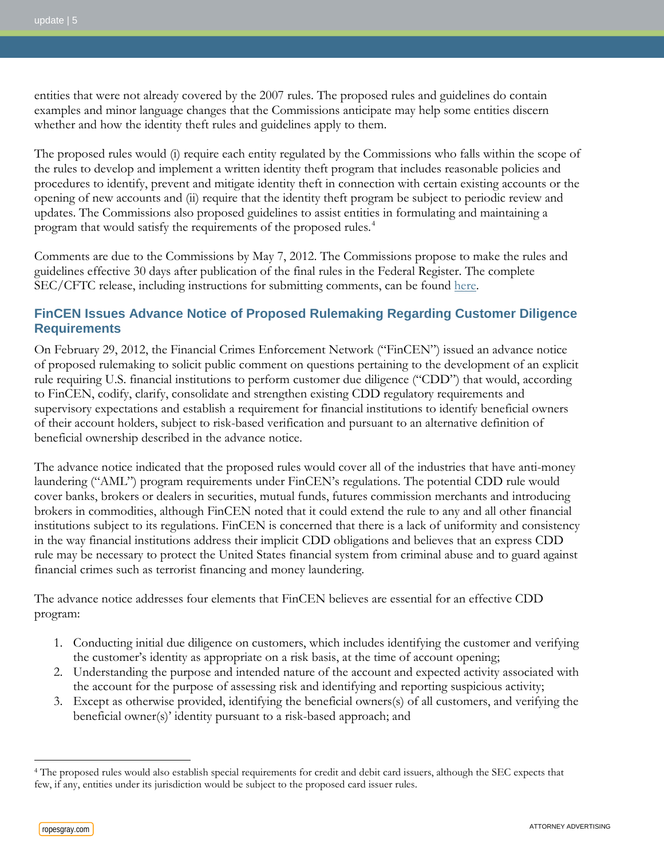entities that were not already covered by the 2007 rules. The proposed rules and guidelines do contain examples and minor language changes that the Commissions anticipate may help some entities discern whether and how the identity theft rules and guidelines apply to them.

The proposed rules would (i) require each entity regulated by the Commissions who falls within the scope of the rules to develop and implement a written identity theft program that includes reasonable policies and procedures to identify, prevent and mitigate identity theft in connection with certain existing accounts or the opening of new accounts and (ii) require that the identity theft program be subject to periodic review and updates. The Commissions also proposed guidelines to assist entities in formulating and maintaining a program that would satisfy the requirements of the proposed rules.[4](#page-4-0)

Comments are due to the Commissions by May 7, 2012. The Commissions propose to make the rules and guidelines effective 30 days after publication of the final rules in the Federal Register. The complete SEC/CFTC release, including instructions for submitting comments, can be found [here.](http://www.sec.gov/rules/proposed/2012/ic-29969.pdf)

### **FinCEN Issues Advance Notice of Proposed Rulemaking Regarding Customer Diligence Requirements**

On February 29, 2012, the Financial Crimes Enforcement Network ("FinCEN") issued an advance notice of proposed rulemaking to solicit public comment on questions pertaining to the development of an explicit rule requiring U.S. financial institutions to perform customer due diligence ("CDD") that would, according to FinCEN, codify, clarify, consolidate and strengthen existing CDD regulatory requirements and supervisory expectations and establish a requirement for financial institutions to identify beneficial owners of their account holders, subject to risk-based verification and pursuant to an alternative definition of beneficial ownership described in the advance notice.

The advance notice indicated that the proposed rules would cover all of the industries that have anti-money laundering ("AML") program requirements under FinCEN's regulations. The potential CDD rule would cover banks, brokers or dealers in securities, mutual funds, futures commission merchants and introducing brokers in commodities, although FinCEN noted that it could extend the rule to any and all other financial institutions subject to its regulations. FinCEN is concerned that there is a lack of uniformity and consistency in the way financial institutions address their implicit CDD obligations and believes that an express CDD rule may be necessary to protect the United States financial system from criminal abuse and to guard against financial crimes such as terrorist financing and money laundering.

The advance notice addresses four elements that FinCEN believes are essential for an effective CDD program:

- 1. Conducting initial due diligence on customers, which includes identifying the customer and verifying the customer's identity as appropriate on a risk basis, at the time of account opening;
- 2. Understanding the purpose and intended nature of the account and expected activity associated with the account for the purpose of assessing risk and identifying and reporting suspicious activity;
- 3. Except as otherwise provided, identifying the beneficial owners(s) of all customers, and verifying the beneficial owner(s)' identity pursuant to a risk-based approach; and

 $\overline{a}$ 

<span id="page-4-0"></span><sup>4</sup> The proposed rules would also establish special requirements for credit and debit card issuers, although the SEC expects that few, if any, entities under its jurisdiction would be subject to the proposed card issuer rules.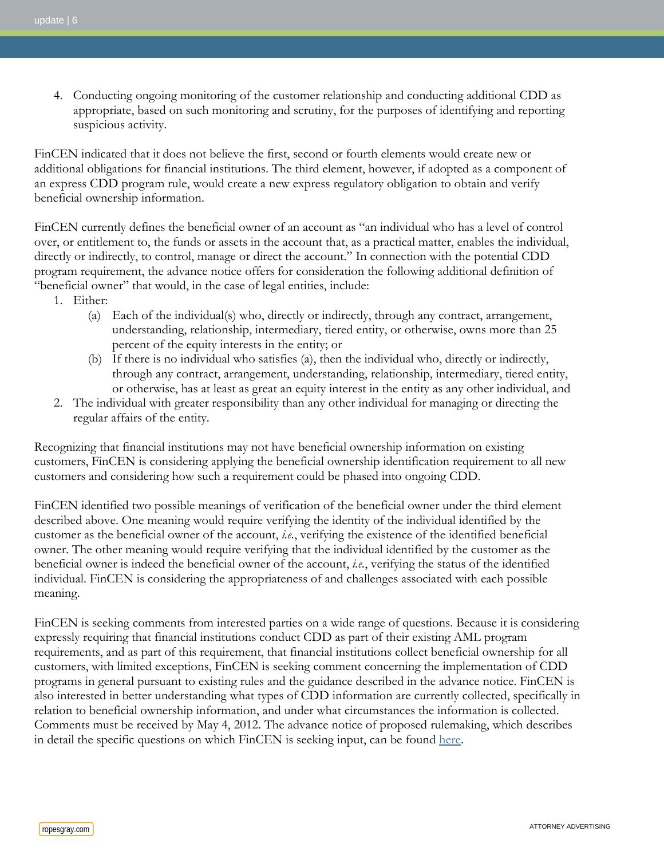4. Conducting ongoing monitoring of the customer relationship and conducting additional CDD as appropriate, based on such monitoring and scrutiny, for the purposes of identifying and reporting suspicious activity.

FinCEN indicated that it does not believe the first, second or fourth elements would create new or additional obligations for financial institutions. The third element, however, if adopted as a component of an express CDD program rule, would create a new express regulatory obligation to obtain and verify beneficial ownership information.

FinCEN currently defines the beneficial owner of an account as "an individual who has a level of control over, or entitlement to, the funds or assets in the account that, as a practical matter, enables the individual, directly or indirectly, to control, manage or direct the account." In connection with the potential CDD program requirement, the advance notice offers for consideration the following additional definition of "beneficial owner" that would, in the case of legal entities, include:

- 1. Either:
	- (a) Each of the individual(s) who, directly or indirectly, through any contract, arrangement, understanding, relationship, intermediary, tiered entity, or otherwise, owns more than 25 percent of the equity interests in the entity; or
	- (b) If there is no individual who satisfies (a), then the individual who, directly or indirectly, through any contract, arrangement, understanding, relationship, intermediary, tiered entity, or otherwise, has at least as great an equity interest in the entity as any other individual, and
- 2. The individual with greater responsibility than any other individual for managing or directing the regular affairs of the entity.

Recognizing that financial institutions may not have beneficial ownership information on existing customers, FinCEN is considering applying the beneficial ownership identification requirement to all new customers and considering how such a requirement could be phased into ongoing CDD.

FinCEN identified two possible meanings of verification of the beneficial owner under the third element described above. One meaning would require verifying the identity of the individual identified by the customer as the beneficial owner of the account, *i.e.*, verifying the existence of the identified beneficial owner. The other meaning would require verifying that the individual identified by the customer as the beneficial owner is indeed the beneficial owner of the account, *i.e.*, verifying the status of the identified individual. FinCEN is considering the appropriateness of and challenges associated with each possible meaning.

FinCEN is seeking comments from interested parties on a wide range of questions. Because it is considering expressly requiring that financial institutions conduct CDD as part of their existing AML program requirements, and as part of this requirement, that financial institutions collect beneficial ownership for all customers, with limited exceptions, FinCEN is seeking comment concerning the implementation of CDD programs in general pursuant to existing rules and the guidance described in the advance notice. FinCEN is also interested in better understanding what types of CDD information are currently collected, specifically in relation to beneficial ownership information, and under what circumstances the information is collected. Comments must be received by May 4, 2012. The advance notice of proposed rulemaking, which describes in detail the specific questions on which FinCEN is seeking input, can be found [here.](http://www.gpo.gov/fdsys/pkg/FR-2012-03-05/pdf/2012-5187.pdf)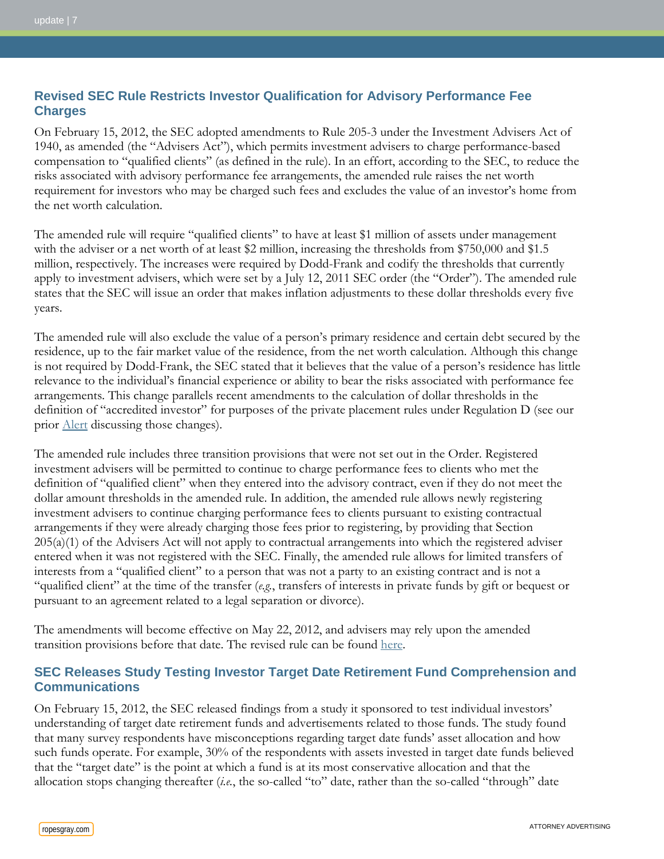## **Revised SEC Rule Restricts Investor Qualification for Advisory Performance Fee Charges**

On February 15, 2012, the SEC adopted amendments to Rule 205-3 under the Investment Advisers Act of 1940, as amended (the "Advisers Act"), which permits investment advisers to charge performance-based compensation to "qualified clients" (as defined in the rule). In an effort, according to the SEC, to reduce the risks associated with advisory performance fee arrangements, the amended rule raises the net worth requirement for investors who may be charged such fees and excludes the value of an investor's home from the net worth calculation.

The amended rule will require "qualified clients" to have at least \$1 million of assets under management with the adviser or a net worth of at least \$2 million, increasing the thresholds from \$750,000 and \$1.5 million, respectively. The increases were required by Dodd-Frank and codify the thresholds that currently apply to investment advisers, which were set by a July 12, 2011 SEC order (the "Order"). The amended rule states that the SEC will issue an order that makes inflation adjustments to these dollar thresholds every five years.

The amended rule will also exclude the value of a person's primary residence and certain debt secured by the residence, up to the fair market value of the residence, from the net worth calculation. Although this change is not required by Dodd-Frank, the SEC stated that it believes that the value of a person's residence has little relevance to the individual's financial experience or ability to bear the risks associated with performance fee arrangements. This change parallels recent amendments to the calculation of dollar thresholds in the definition of "accredited investor" for purposes of the private placement rules under Regulation D (see our prior [Alert](http://www.ropesgray.com/files/upload/20120203_HF_Alert.pdf) discussing those changes).

The amended rule includes three transition provisions that were not set out in the Order. Registered investment advisers will be permitted to continue to charge performance fees to clients who met the definition of "qualified client" when they entered into the advisory contract, even if they do not meet the dollar amount thresholds in the amended rule. In addition, the amended rule allows newly registering investment advisers to continue charging performance fees to clients pursuant to existing contractual arrangements if they were already charging those fees prior to registering, by providing that Section 205(a)(1) of the Advisers Act will not apply to contractual arrangements into which the registered adviser entered when it was not registered with the SEC. Finally, the amended rule allows for limited transfers of interests from a "qualified client" to a person that was not a party to an existing contract and is not a "qualified client" at the time of the transfer (*e.g.*, transfers of interests in private funds by gift or bequest or pursuant to an agreement related to a legal separation or divorce).

The amendments will become effective on May 22, 2012, and advisers may rely upon the amended transition provisions before that date. The revised rule can be found [here.](http://www.sec.gov/rules/final/2012/ia-3372.pdf)

## **SEC Releases Study Testing Investor Target Date Retirement Fund Comprehension and Communications**

On February 15, 2012, the SEC released findings from a study it sponsored to test individual investors' understanding of target date retirement funds and advertisements related to those funds. The study found that many survey respondents have misconceptions regarding target date funds' asset allocation and how such funds operate. For example, 30% of the respondents with assets invested in target date funds believed that the "target date" is the point at which a fund is at its most conservative allocation and that the allocation stops changing thereafter (*i.e.*, the so-called "to" date, rather than the so-called "through" date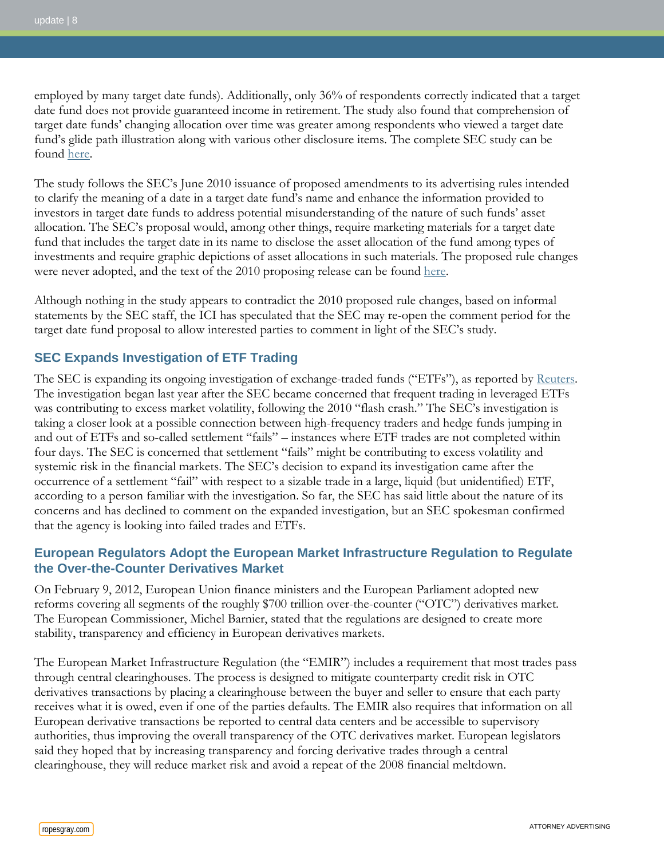employed by many target date funds). Additionally, only 36% of respondents correctly indicated that a target date fund does not provide guaranteed income in retirement. The study also found that comprehension of target date funds' changing allocation over time was greater among respondents who viewed a target date fund's glide path illustration along with various other disclosure items. The complete SEC study can be found [here.](http://www.sec.gov/comments/s7-12-10/s71210-58.pdf)

The study follows the SEC's June 2010 issuance of proposed amendments to its advertising rules intended to clarify the meaning of a date in a target date fund's name and enhance the information provided to investors in target date funds to address potential misunderstanding of the nature of such funds' asset allocation. The SEC's proposal would, among other things, require marketing materials for a target date fund that includes the target date in its name to disclose the asset allocation of the fund among types of investments and require graphic depictions of asset allocations in such materials. The proposed rule changes were never adopted, and the text of the 2010 proposing release can be found [here.](http://www.sec.gov/rules/proposed/2010/33-9126.pdf)

Although nothing in the study appears to contradict the 2010 proposed rule changes, based on informal statements by the SEC staff, the ICI has speculated that the SEC may re-open the comment period for the target date fund proposal to allow interested parties to comment in light of the SEC's study.

### **SEC Expands Investigation of ETF Trading**

The SEC is expanding its ongoing investigation of exchange-traded funds ("ETFs"), as reported by [Reuters.](http://www.reuters.com/article/2012/02/17/us-sec-probe-etf-idUSTRE81G27020120217) The investigation began last year after the SEC became concerned that frequent trading in leveraged ETFs was contributing to excess market volatility, following the 2010 "flash crash." The SEC's investigation is taking a closer look at a possible connection between high-frequency traders and hedge funds jumping in and out of ETFs and so-called settlement "fails" – instances where ETF trades are not completed within four days. The SEC is concerned that settlement "fails" might be contributing to excess volatility and systemic risk in the financial markets. The SEC's decision to expand its investigation came after the occurrence of a settlement "fail" with respect to a sizable trade in a large, liquid (but unidentified) ETF, according to a person familiar with the investigation. So far, the SEC has said little about the nature of its concerns and has declined to comment on the expanded investigation, but an SEC spokesman confirmed that the agency is looking into failed trades and ETFs.

#### **European Regulators Adopt the European Market Infrastructure Regulation to Regulate the Over-the-Counter Derivatives Market**

On February 9, 2012, European Union finance ministers and the European Parliament adopted new reforms covering all segments of the roughly \$700 trillion over-the-counter ("OTC") derivatives market. The European Commissioner, Michel Barnier, stated that the regulations are designed to create more stability, transparency and efficiency in European derivatives markets.

The European Market Infrastructure Regulation (the "EMIR") includes a requirement that most trades pass through central clearinghouses. The process is designed to mitigate counterparty credit risk in OTC derivatives transactions by placing a clearinghouse between the buyer and seller to ensure that each party receives what it is owed, even if one of the parties defaults. The EMIR also requires that information on all European derivative transactions be reported to central data centers and be accessible to supervisory authorities, thus improving the overall transparency of the OTC derivatives market. European legislators said they hoped that by increasing transparency and forcing derivative trades through a central clearinghouse, they will reduce market risk and avoid a repeat of the 2008 financial meltdown.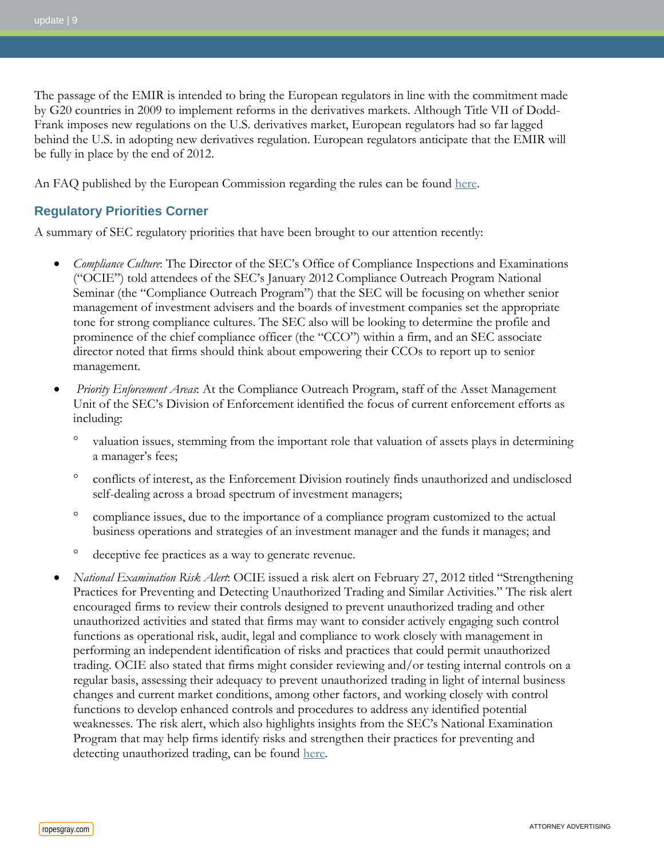The passage of the EMIR is intended to bring the European regulators in line with the commitment made by G20 countries in 2009 to implement reforms in the derivatives markets. Although Title VII of Dodd-Frank imposes new regulations on the U.S. derivatives market, European regulators had so far lagged behind the U.S. in adopting new derivatives regulation. European regulators anticipate that the EMIR will be fully in place by the end of 2012.

An FAQ published by the European Commission regarding the rules can be found [here.](http://www.isda.org/uploadfiles/_docs/120131_updated_memo_post_trilogue.doc)

## **Regulatory Priorities Corner**

A summary of SEC regulatory priorities that have been brought to our attention recently:

- *Compliance Culture*: The Director of the SEC's Office of Compliance Inspections and Examinations ("OCIE") told attendees of the SEC's January 2012 Compliance Outreach Program National Seminar (the "Compliance Outreach Program") that the SEC will be focusing on whether senior management of investment advisers and the boards of investment companies set the appropriate tone for strong compliance cultures. The SEC also will be looking to determine the profile and prominence of the chief compliance officer (the "CCO") within a firm, and an SEC associate director noted that firms should think about empowering their CCOs to report up to senior management.
- *Priority Enforcement Areas*: At the Compliance Outreach Program, staff of the Asset Management Unit of the SEC's Division of Enforcement identified the focus of current enforcement efforts as including:
	- ° valuation issues, stemming from the important role that valuation of assets plays in determining a manager's fees;
	- ° conflicts of interest, as the Enforcement Division routinely finds unauthorized and undisclosed self-dealing across a broad spectrum of investment managers;
	- ° compliance issues, due to the importance of a compliance program customized to the actual business operations and strategies of an investment manager and the funds it manages; and
	- ° deceptive fee practices as a way to generate revenue.
- *National Examination Risk Alert*: OCIE issued a risk alert on February 27, 2012 titled "Strengthening Practices for Preventing and Detecting Unauthorized Trading and Similar Activities." The risk alert encouraged firms to review their controls designed to prevent unauthorized trading and other unauthorized activities and stated that firms may want to consider actively engaging such control functions as operational risk, audit, legal and compliance to work closely with management in performing an independent identification of risks and practices that could permit unauthorized trading. OCIE also stated that firms might consider reviewing and/or testing internal controls on a regular basis, assessing their adequacy to prevent unauthorized trading in light of internal business changes and current market conditions, among other factors, and working closely with control functions to develop enhanced controls and procedures to address any identified potential weaknesses. The risk alert, which also highlights insights from the SEC's National Examination Program that may help firms identify risks and strengthen their practices for preventing and detecting unauthorized trading, can be found [here.](http://www.sec.gov/about/offices/ocie/riskalert-unauthorizedtrading.pdf)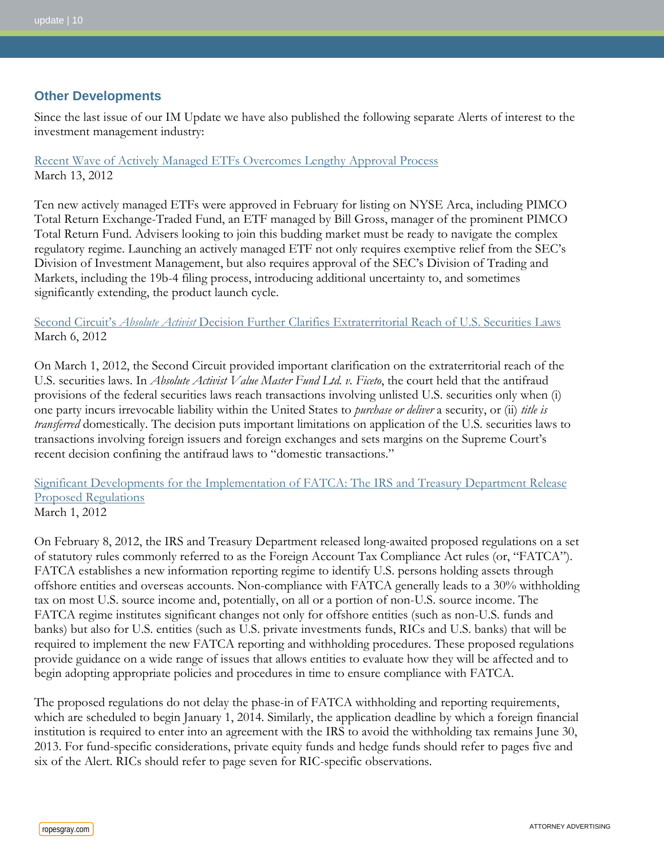#### **Other Developments**

Since the last issue of our IM Update we have also published the following separate Alerts of interest to the investment management industry:

[Recent Wave of Actively Managed ETFs Overcomes Lengthy Approval Process](http://www.ropesgray.com/files/upload/20120313_IM_Alert.pdf) March 13, 2012

Ten new actively managed ETFs were approved in February for listing on NYSE Arca, including PIMCO Total Return Exchange-Traded Fund, an ETF managed by Bill Gross, manager of the prominent PIMCO Total Return Fund. Advisers looking to join this budding market must be ready to navigate the complex regulatory regime. Launching an actively managed ETF not only requires exemptive relief from the SEC's Division of Investment Management, but also requires approval of the SEC's Division of Trading and Markets, including the 19b-4 filing process, introducing additional uncertainty to, and sometimes significantly extending, the product launch cycle.

Second Circuit's *Absolute Activist* [Decision Further Clarifies Extraterritorial Reach of U.S. Securities Laws](http://www.ropesgray.com/files/upload/20120306_Sec_Lit_Alert.pdf) March 6, 2012

On March 1, 2012, the Second Circuit provided important clarification on the extraterritorial reach of the U.S. securities laws. In *Absolute Activist Value Master Fund Ltd. v. Ficeto*, the court held that the antifraud provisions of the federal securities laws reach transactions involving unlisted U.S. securities only when (i) one party incurs irrevocable liability within the United States to *purchase or deliver* a security, or (ii) *title is transferred* domestically. The decision puts important limitations on application of the U.S. securities laws to transactions involving foreign issuers and foreign exchanges and sets margins on the Supreme Court's recent decision confining the antifraud laws to "domestic transactions."

[Significant Developments for the Implementation of FATCA: The IRS and Treasury Department Release](http://www.ropesgray.com/files/upload/20120301_FATCA_Alert.pdf)  [Proposed Regulations](http://www.ropesgray.com/files/upload/20120301_FATCA_Alert.pdf) March 1, 2012

On February 8, 2012, the IRS and Treasury Department released long-awaited proposed regulations on a set of statutory rules commonly referred to as the Foreign Account Tax Compliance Act rules (or, "FATCA"). FATCA establishes a new information reporting regime to identify U.S. persons holding assets through offshore entities and overseas accounts. Non-compliance with FATCA generally leads to a 30% withholding tax on most U.S. source income and, potentially, on all or a portion of non-U.S. source income. The FATCA regime institutes significant changes not only for offshore entities (such as non-U.S. funds and banks) but also for U.S. entities (such as U.S. private investments funds, RICs and U.S. banks) that will be required to implement the new FATCA reporting and withholding procedures. These proposed regulations provide guidance on a wide range of issues that allows entities to evaluate how they will be affected and to begin adopting appropriate policies and procedures in time to ensure compliance with FATCA.

The proposed regulations do not delay the phase-in of FATCA withholding and reporting requirements, which are scheduled to begin January 1, 2014. Similarly, the application deadline by which a foreign financial institution is required to enter into an agreement with the IRS to avoid the withholding tax remains June 30, 2013. For fund-specific considerations, private equity funds and hedge funds should refer to pages five and six of the Alert. RICs should refer to page seven for RIC-specific observations.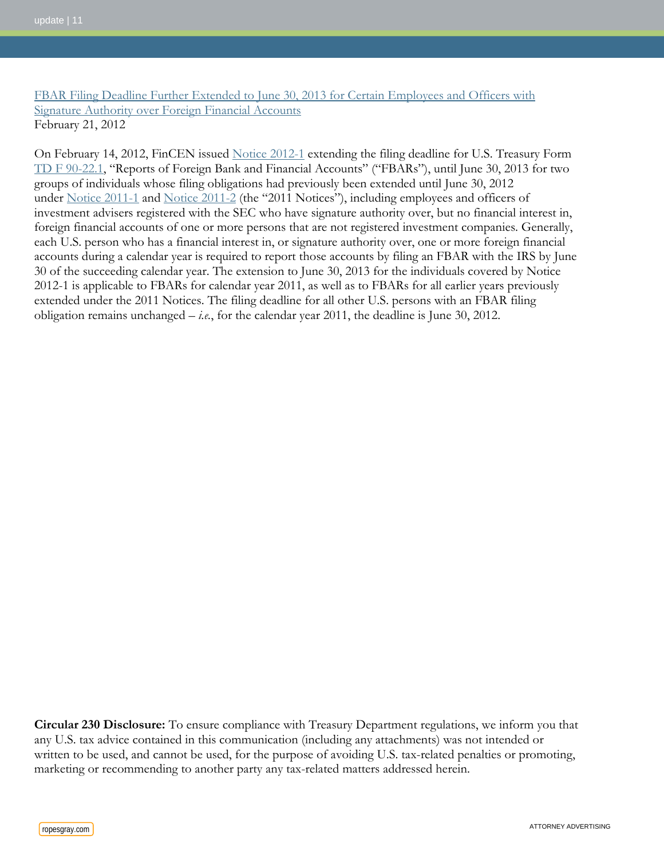#### [FBAR Filing Deadline Further Extended to June 30, 2013 for Certain Employees and Officers with](http://www.ropesgray.com/files/upload/20120221_Tax_Benefits_Alert.pdf)  [Signature Authority over Foreign Financial Accounts](http://www.ropesgray.com/files/upload/20120221_Tax_Benefits_Alert.pdf) February 21, 2012

On February 14, 2012, FinCEN issued [Notice 2012-1](http://www.fincen.gov/statutes_regs/guidance/pdf/FinCEN_Notice_2012-1_FBAR_Filing_Extension.pdf) extending the filing deadline for U.S. Treasury Form [TD F 90-22.1,](http://www.irs.gov/pub/irs-pdf/f90221.pdf) "Reports of Foreign Bank and Financial Accounts" ("FBARs"), until June 30, 2013 for two groups of individuals whose filing obligations had previously been extended until June 30, 2012 under [Notice 2011-1](http://www.fincen.gov/statutes_regs/guidance/pdf/FBAR-Extension-Notice-5-25-11-Clean.pdf) and [Notice 2011-2](http://www.fincen.gov/statutes_regs/guidance/pdf/FBARFinCENNotice.pdf) (the "2011 Notices"), including employees and officers of investment advisers registered with the SEC who have signature authority over, but no financial interest in, foreign financial accounts of one or more persons that are not registered investment companies. Generally, each U.S. person who has a financial interest in, or signature authority over, one or more foreign financial accounts during a calendar year is required to report those accounts by filing an FBAR with the IRS by June 30 of the succeeding calendar year. The extension to June 30, 2013 for the individuals covered by Notice 2012-1 is applicable to FBARs for calendar year 2011, as well as to FBARs for all earlier years previously extended under the 2011 Notices. The filing deadline for all other U.S. persons with an FBAR filing obligation remains unchanged – *i.e.*, for the calendar year 2011, the deadline is June 30, 2012.

**Circular 230 Disclosure:** To ensure compliance with Treasury Department regulations, we inform you that any U.S. tax advice contained in this communication (including any attachments) was not intended or written to be used, and cannot be used, for the purpose of avoiding U.S. tax-related penalties or promoting, marketing or recommending to another party any tax-related matters addressed herein.